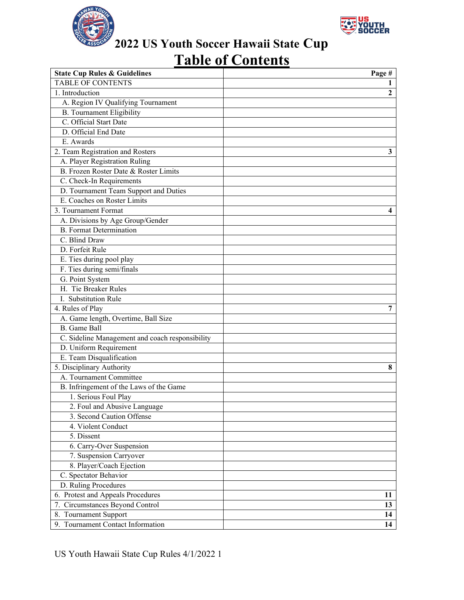



# **Table of Contents**

| <b>State Cup Rules &amp; Guidelines</b>         | Page #         |
|-------------------------------------------------|----------------|
| <b>TABLE OF CONTENTS</b>                        |                |
| 1. Introduction                                 | $\overline{2}$ |
| A. Region IV Qualifying Tournament              |                |
| <b>B.</b> Tournament Eligibility                |                |
| C. Official Start Date                          |                |
| D. Official End Date                            |                |
| E. Awards                                       |                |
| 2. Team Registration and Rosters                | 3              |
| A. Player Registration Ruling                   |                |
| B. Frozen Roster Date & Roster Limits           |                |
| C. Check-In Requirements                        |                |
| D. Tournament Team Support and Duties           |                |
| E. Coaches on Roster Limits                     |                |
| 3. Tournament Format                            | 4              |
| A. Divisions by Age Group/Gender                |                |
| <b>B.</b> Format Determination                  |                |
| C. Blind Draw                                   |                |
| D. Forfeit Rule                                 |                |
| E. Ties during pool play                        |                |
| F. Ties during semi/finals                      |                |
| G. Point System                                 |                |
| H. Tie Breaker Rules                            |                |
| I. Substitution Rule                            |                |
| 4. Rules of Play                                | 7              |
| A. Game length, Overtime, Ball Size             |                |
| <b>B.</b> Game Ball                             |                |
| C. Sideline Management and coach responsibility |                |
| D. Uniform Requirement                          |                |
| E. Team Disqualification                        |                |
| 5. Disciplinary Authority                       | 8              |
| A. Tournament Committee                         |                |
| B. Infringement of the Laws of the Game         |                |
| 1. Serious Foul Play                            |                |
| 2. Foul and Abusive Language                    |                |
| 3. Second Caution Offense                       |                |
| 4. Violent Conduct                              |                |
| 5. Dissent                                      |                |
| 6. Carry-Over Suspension                        |                |
| 7. Suspension Carryover                         |                |
| 8. Player/Coach Ejection                        |                |
| C. Spectator Behavior                           |                |
| D. Ruling Procedures                            |                |
| 6. Protest and Appeals Procedures               | 11             |
| 7. Circumstances Beyond Control                 | 13             |
| 8. Tournament Support                           | 14             |
| 9. Tournament Contact Information               | 14             |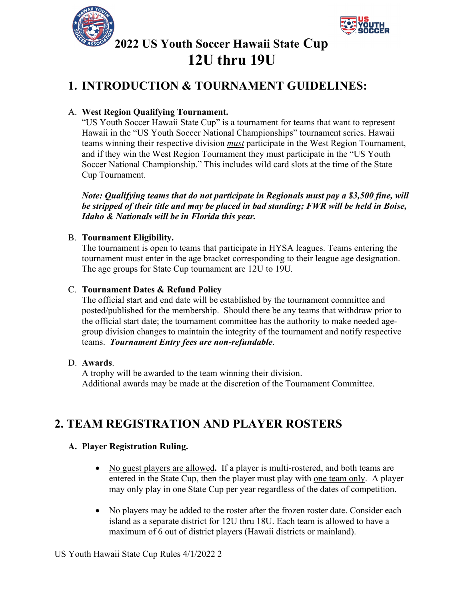



# **2022 US Youth Soccer Hawaii State Cup 12U thru 19U**

### **1. INTRODUCTION & TOURNAMENT GUIDELINES:**

#### A. **West Region Qualifying Tournament.**

"US Youth Soccer Hawaii State Cup" is a tournament for teams that want to represent Hawaii in the "US Youth Soccer National Championships" tournament series. Hawaii teams winning their respective division *must* participate in the West Region Tournament, and if they win the West Region Tournament they must participate in the "US Youth Soccer National Championship." This includes wild card slots at the time of the State Cup Tournament.

*Note: Qualifying teams that do not participate in Regionals must pay a \$3,500 fine, will be stripped of their title and may be placed in bad standing; FWR will be held in Boise, Idaho & Nationals will be in Florida this year.*

#### B. **Tournament Eligibility.**

The tournament is open to teams that participate in HYSA leagues. Teams entering the tournament must enter in the age bracket corresponding to their league age designation. The age groups for State Cup tournament are 12U to 19U*.* 

#### C. **Tournament Dates & Refund Policy**

The official start and end date will be established by the tournament committee and posted/published for the membership. Should there be any teams that withdraw prior to the official start date; the tournament committee has the authority to make needed agegroup division changes to maintain the integrity of the tournament and notify respective teams. *Tournament Entry fees are non-refundable*.

#### D. **Awards**.

A trophy will be awarded to the team winning their division. Additional awards may be made at the discretion of the Tournament Committee.

### **2. TEAM REGISTRATION AND PLAYER ROSTERS**

#### **A. Player Registration Ruling.**

- No guest players are allowed**.** If a player is multi-rostered, and both teams are entered in the State Cup, then the player must play with one team only. A player may only play in one State Cup per year regardless of the dates of competition.
- No players may be added to the roster after the frozen roster date. Consider each island as a separate district for 12U thru 18U. Each team is allowed to have a maximum of 6 out of district players (Hawaii districts or mainland).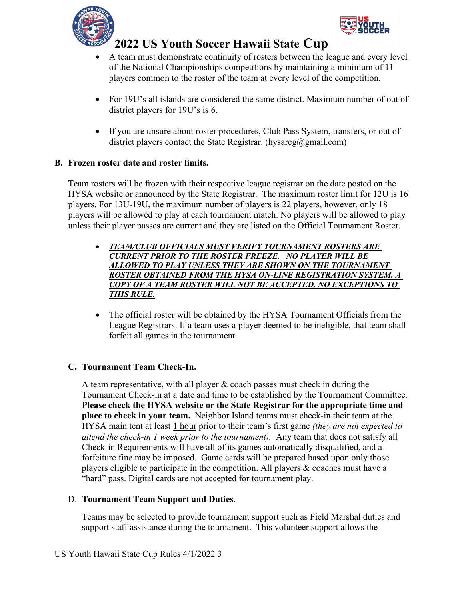



- A team must demonstrate continuity of rosters between the league and every level of the National Championships competitions by maintaining a minimum of 11 players common to the roster of the team at every level of the competition.
- For 19U's all islands are considered the same district. Maximum number of out of district players for 19U's is 6.
- If you are unsure about roster procedures, Club Pass System, transfers, or out of district players contact the State Registrar. (hysareg@gmail.com)

#### **B. Frozen roster date and roster limits.**

Team rosters will be frozen with their respective league registrar on the date posted on the HYSA website or announced by the State Registrar. The maximum roster limit for 12U is 16 players. For 13U-19U, the maximum number of players is 22 players, however, only 18 players will be allowed to play at each tournament match. No players will be allowed to play unless their player passes are current and they are listed on the Official Tournament Roster.

- *TEAM/CLUB OFFICIALS MUST VERIFY TOURNAMENT ROSTERS ARE CURRENT PRIOR TO THE ROSTER FREEZE. NO PLAYER WILL BE ALLOWED TO PLAY UNLESS THEY ARE SHOWN ON THE TOURNAMENT ROSTER OBTAINED FROM THE HYSA ON-LINE REGISTRATION SYSTEM. A COPY OF A TEAM ROSTER WILL NOT BE ACCEPTED. NO EXCEPTIONS TO THIS RULE.*
- The official roster will be obtained by the HYSA Tournament Officials from the League Registrars. If a team uses a player deemed to be ineligible, that team shall forfeit all games in the tournament.

#### **C. Tournament Team Check-In.**

A team representative, with all player  $\&$  coach passes must check in during the Tournament Check-in at a date and time to be established by the Tournament Committee. **Please check the HYSA website or the State Registrar for the appropriate time and place to check in your team.** Neighbor Island teams must check-in their team at the HYSA main tent at least 1 hour prior to their team's first game *(they are not expected to attend the check-in 1 week prior to the tournament).* Any team that does not satisfy all Check-in Requirements will have all of its games automatically disqualified, and a forfeiture fine may be imposed. Game cards will be prepared based upon only those players eligible to participate in the competition. All players & coaches must have a "hard" pass. Digital cards are not accepted for tournament play.

#### D. **Tournament Team Support and Duties**.

Teams may be selected to provide tournament support such as Field Marshal duties and support staff assistance during the tournament. This volunteer support allows the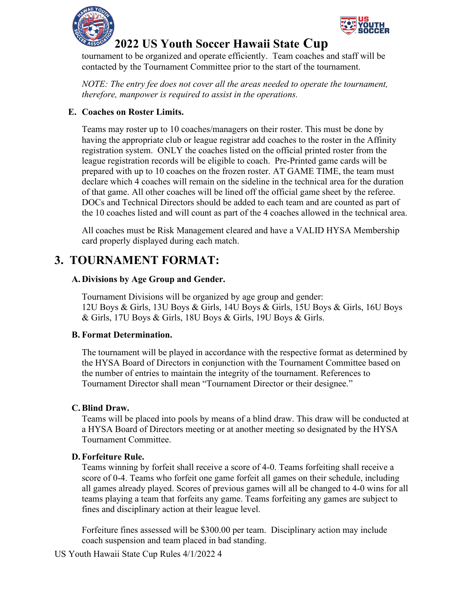



tournament to be organized and operate efficiently. Team coaches and staff will be contacted by the Tournament Committee prior to the start of the tournament.

*NOTE: The entry fee does not cover all the areas needed to operate the tournament, therefore, manpower is required to assist in the operations.*

#### **E. Coaches on Roster Limits.**

Teams may roster up to 10 coaches/managers on their roster. This must be done by having the appropriate club or league registrar add coaches to the roster in the Affinity registration system. ONLY the coaches listed on the official printed roster from the league registration records will be eligible to coach. Pre-Printed game cards will be prepared with up to 10 coaches on the frozen roster. AT GAME TIME, the team must declare which 4 coaches will remain on the sideline in the technical area for the duration of that game. All other coaches will be lined off the official game sheet by the referee. DOCs and Technical Directors should be added to each team and are counted as part of the 10 coaches listed and will count as part of the 4 coaches allowed in the technical area.

All coaches must be Risk Management cleared and have a VALID HYSA Membership card properly displayed during each match.

### **3. TOURNAMENT FORMAT:**

#### **A. Divisions by Age Group and Gender.**

Tournament Divisions will be organized by age group and gender: 12U Boys & Girls, 13U Boys & Girls, 14U Boys & Girls, 15U Boys & Girls, 16U Boys & Girls, 17U Boys & Girls, 18U Boys & Girls, 19U Boys & Girls.

#### **B. Format Determination.**

The tournament will be played in accordance with the respective format as determined by the HYSA Board of Directors in conjunction with the Tournament Committee based on the number of entries to maintain the integrity of the tournament. References to Tournament Director shall mean "Tournament Director or their designee."

#### **C.Blind Draw.**

Teams will be placed into pools by means of a blind draw. This draw will be conducted at a HYSA Board of Directors meeting or at another meeting so designated by the HYSA Tournament Committee.

#### **D.Forfeiture Rule.**

Teams winning by forfeit shall receive a score of 4-0. Teams forfeiting shall receive a score of 0-4. Teams who forfeit one game forfeit all games on their schedule, including all games already played. Scores of previous games will all be changed to 4-0 wins for all teams playing a team that forfeits any game. Teams forfeiting any games are subject to fines and disciplinary action at their league level.

Forfeiture fines assessed will be \$300.00 per team. Disciplinary action may include coach suspension and team placed in bad standing.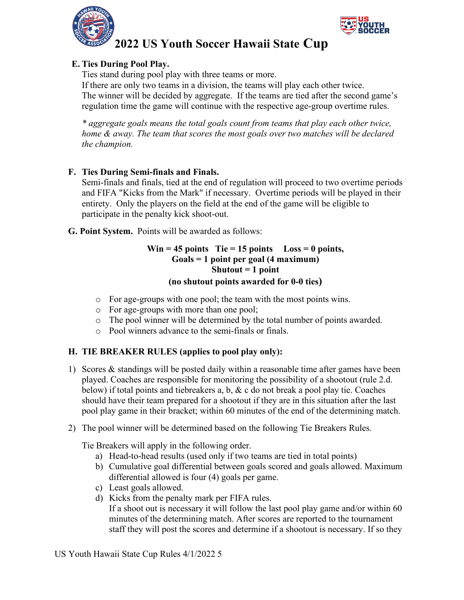



#### **E. Ties During Pool Play.**

Ties stand during pool play with three teams or more.

If there are only two teams in a division, the teams will play each other twice. The winner will be decided by aggregate. If the teams are tied after the second game's regulation time the game will continue with the respective age-group overtime rules.

*\* aggregate goals means the total goals count from teams that play each other twice, home & away. The team that scores the most goals over two matches will be declared the champion.*

#### **F. Ties During Semi-finals and Finals.**

Semi-finals and finals, tied at the end of regulation will proceed to two overtime periods and FIFA "Kicks from the Mark" if necessary. Overtime periods will be played in their entirety. Only the players on the field at the end of the game will be eligible to participate in the penalty kick shoot-out.

**G. Point System.** Points will be awarded as follows:

#### **Win = 45 points Tie = 15 points Loss = 0 points, Goals = 1 point per goal (4 maximum) Shutout = 1 point (no shutout points awarded for 0-0 ties)**

- o For age-groups with one pool; the team with the most points wins.
- o For age-groups with more than one pool;
- o The pool winner will be determined by the total number of points awarded.
- o Pool winners advance to the semi-finals or finals.

#### **H. TIE BREAKER RULES (applies to pool play only):**

- 1) Scores & standings will be posted daily within a reasonable time after games have been played. Coaches are responsible for monitoring the possibility of a shootout (rule 2.d. below) if total points and tiebreakers a, b,  $\&$  c do not break a pool play tie. Coaches should have their team prepared for a shootout if they are in this situation after the last pool play game in their bracket; within 60 minutes of the end of the determining match.
- 2) The pool winner will be determined based on the following Tie Breakers Rules.

Tie Breakers will apply in the following order.

- a) Head-to-head results (used only if two teams are tied in total points)
- b) Cumulative goal differential between goals scored and goals allowed. Maximum differential allowed is four (4) goals per game.
- c) Least goals allowed.
- d) Kicks from the penalty mark per FIFA rules. If a shoot out is necessary it will follow the last pool play game and/or within 60 minutes of the determining match. After scores are reported to the tournament staff they will post the scores and determine if a shootout is necessary. If so they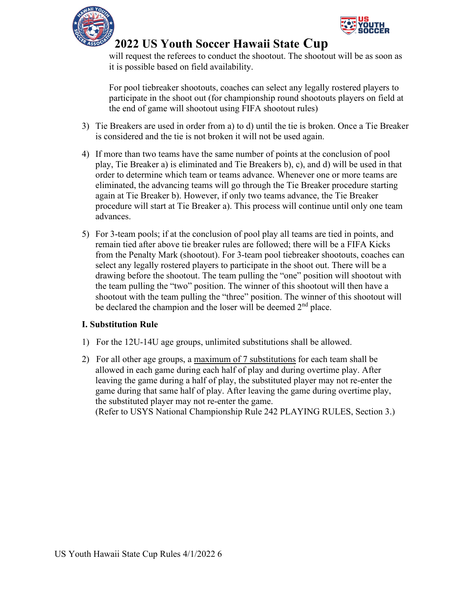



will request the referees to conduct the shootout. The shootout will be as soon as it is possible based on field availability.

For pool tiebreaker shootouts, coaches can select any legally rostered players to participate in the shoot out (for championship round shootouts players on field at the end of game will shootout using FIFA shootout rules)

- 3) Tie Breakers are used in order from a) to d) until the tie is broken. Once a Tie Breaker is considered and the tie is not broken it will not be used again.
- 4) If more than two teams have the same number of points at the conclusion of pool play, Tie Breaker a) is eliminated and Tie Breakers b), c), and d) will be used in that order to determine which team or teams advance. Whenever one or more teams are eliminated, the advancing teams will go through the Tie Breaker procedure starting again at Tie Breaker b). However, if only two teams advance, the Tie Breaker procedure will start at Tie Breaker a). This process will continue until only one team advances.
- 5) For 3-team pools; if at the conclusion of pool play all teams are tied in points, and remain tied after above tie breaker rules are followed; there will be a FIFA Kicks from the Penalty Mark (shootout). For 3-team pool tiebreaker shootouts, coaches can select any legally rostered players to participate in the shoot out. There will be a drawing before the shootout. The team pulling the "one" position will shootout with the team pulling the "two" position. The winner of this shootout will then have a shootout with the team pulling the "three" position. The winner of this shootout will be declared the champion and the loser will be deemed  $2<sup>nd</sup>$  place.

#### **I. Substitution Rule**

- 1) For the 12U-14U age groups, unlimited substitutions shall be allowed.
- 2) For all other age groups, a maximum of 7 substitutions for each team shall be allowed in each game during each half of play and during overtime play. After leaving the game during a half of play, the substituted player may not re-enter the game during that same half of play. After leaving the game during overtime play, the substituted player may not re-enter the game. (Refer to USYS National Championship Rule 242 PLAYING RULES, Section 3.)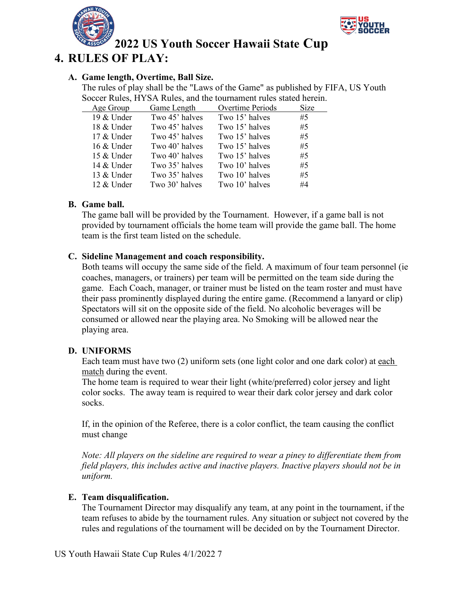



### **4. RULES OF PLAY:**

#### **A. Game length, Overtime, Ball Size.**

The rules of play shall be the "Laws of the Game" as published by FIFA, US Youth Soccer Rules, HYSA Rules, and the tournament rules stated herein.

| Age Group  | Game Length    | Overtime Periods | Size |
|------------|----------------|------------------|------|
| 19 & Under | Two 45' halves | Two 15' halves   | #5   |
| 18 & Under | Two 45' halves | Two 15' halves   | #5   |
| 17 & Under | Two 45' halves | Two 15' halves   | #5   |
| 16 & Under | Two 40' halves | Two 15' halves   | #5   |
| 15 & Under | Two 40' halves | Two 15' halves   | #5   |
| 14 & Under | Two 35' halves | Two 10' halves   | #5   |
| 13 & Under | Two 35' halves | Two 10' halves   | #5   |
| 12 & Under | Two 30' halves | Two 10' halves   | #4   |

#### **B. Game ball.**

The game ball will be provided by the Tournament. However, if a game ball is not provided by tournament officials the home team will provide the game ball. The home team is the first team listed on the schedule.

#### **C. Sideline Management and coach responsibility.**

Both teams will occupy the same side of the field. A maximum of four team personnel (ie coaches, managers, or trainers) per team will be permitted on the team side during the game. Each Coach, manager, or trainer must be listed on the team roster and must have their pass prominently displayed during the entire game. (Recommend a lanyard or clip) Spectators will sit on the opposite side of the field. No alcoholic beverages will be consumed or allowed near the playing area. No Smoking will be allowed near the playing area.

#### **D. UNIFORMS**

Each team must have two (2) uniform sets (one light color and one dark color) at each match during the event.

The home team is required to wear their light (white/preferred) color jersey and light color socks. The away team is required to wear their dark color jersey and dark color socks.

If, in the opinion of the Referee, there is a color conflict, the team causing the conflict must change

*Note: All players on the sideline are required to wear a piney to differentiate them from field players, this includes active and inactive players. Inactive players should not be in uniform.*

#### **E. Team disqualification.**

The Tournament Director may disqualify any team, at any point in the tournament, if the team refuses to abide by the tournament rules. Any situation or subject not covered by the rules and regulations of the tournament will be decided on by the Tournament Director.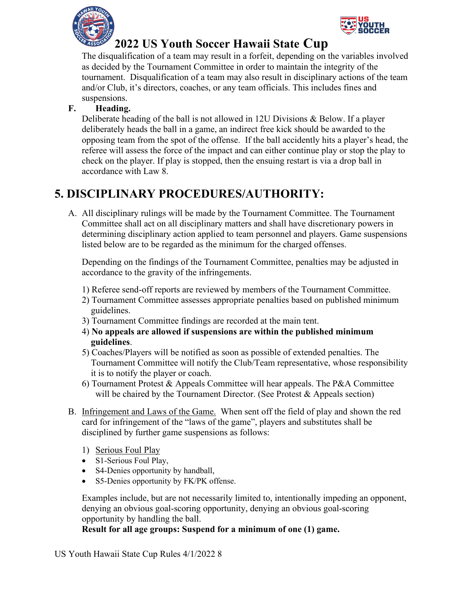



The disqualification of a team may result in a forfeit, depending on the variables involved as decided by the Tournament Committee in order to maintain the integrity of the tournament. Disqualification of a team may also result in disciplinary actions of the team and/or Club, it's directors, coaches, or any team officials. This includes fines and suspensions.

### **F. Heading.**

Deliberate heading of the ball is not allowed in 12U Divisions & Below. If a player deliberately heads the ball in a game, an indirect free kick should be awarded to the opposing team from the spot of the offense. If the ball accidently hits a player's head, the referee will assess the force of the impact and can either continue play or stop the play to check on the player. If play is stopped, then the ensuing restart is via a drop ball in accordance with Law 8.

### **5. DISCIPLINARY PROCEDURES/AUTHORITY:**

A. All disciplinary rulings will be made by the Tournament Committee. The Tournament Committee shall act on all disciplinary matters and shall have discretionary powers in determining disciplinary action applied to team personnel and players. Game suspensions listed below are to be regarded as the minimum for the charged offenses.

Depending on the findings of the Tournament Committee, penalties may be adjusted in accordance to the gravity of the infringements.

- 1) Referee send-off reports are reviewed by members of the Tournament Committee.
- 2) Tournament Committee assesses appropriate penalties based on published minimum guidelines.
- 3) Tournament Committee findings are recorded at the main tent.
- 4) **No appeals are allowed if suspensions are within the published minimum guidelines**.
- 5) Coaches/Players will be notified as soon as possible of extended penalties. The Tournament Committee will notify the Club/Team representative, whose responsibility it is to notify the player or coach.
- 6) Tournament Protest & Appeals Committee will hear appeals. The P&A Committee will be chaired by the Tournament Director. (See Protest & Appeals section)
- B. Infringement and Laws of the Game. When sent off the field of play and shown the red card for infringement of the "laws of the game", players and substitutes shall be disciplined by further game suspensions as follows:
	- 1) Serious Foul Play
	- S1-Serious Foul Play,
	- S4-Denies opportunity by handball,
	- S5-Denies opportunity by FK/PK offense.

Examples include, but are not necessarily limited to, intentionally impeding an opponent, denying an obvious goal-scoring opportunity, denying an obvious goal-scoring opportunity by handling the ball.

#### **Result for all age groups: Suspend for a minimum of one (1) game.**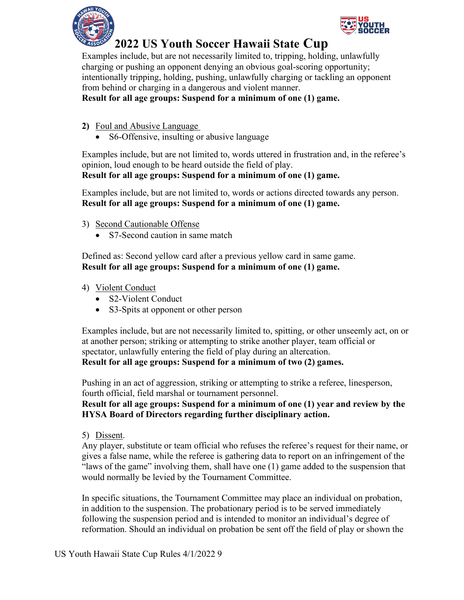



Examples include, but are not necessarily limited to, tripping, holding, unlawfully charging or pushing an opponent denying an obvious goal-scoring opportunity; intentionally tripping, holding, pushing, unlawfully charging or tackling an opponent from behind or charging in a dangerous and violent manner.

#### **Result for all age groups: Suspend for a minimum of one (1) game.**

- **2)** Foul and Abusive Language
	- S6-Offensive, insulting or abusive language

Examples include, but are not limited to, words uttered in frustration and, in the referee's opinion, loud enough to be heard outside the field of play. **Result for all age groups: Suspend for a minimum of one (1) game.**

Examples include, but are not limited to, words or actions directed towards any person. **Result for all age groups: Suspend for a minimum of one (1) game.**

- 3) Second Cautionable Offense
	- S7-Second caution in same match

Defined as: Second yellow card after a previous yellow card in same game. **Result for all age groups: Suspend for a minimum of one (1) game.**

- 4) Violent Conduct
	- S2-Violent Conduct
	- S3-Spits at opponent or other person

Examples include, but are not necessarily limited to, spitting, or other unseemly act, on or at another person; striking or attempting to strike another player, team official or spectator, unlawfully entering the field of play during an altercation. **Result for all age groups: Suspend for a minimum of two (2) games.**

Pushing in an act of aggression, striking or attempting to strike a referee, linesperson, fourth official, field marshal or tournament personnel.

#### **Result for all age groups: Suspend for a minimum of one (1) year and review by the HYSA Board of Directors regarding further disciplinary action.**

5) Dissent.

Any player, substitute or team official who refuses the referee's request for their name, or gives a false name, while the referee is gathering data to report on an infringement of the "laws of the game" involving them, shall have one (1) game added to the suspension that would normally be levied by the Tournament Committee.

In specific situations, the Tournament Committee may place an individual on probation, in addition to the suspension. The probationary period is to be served immediately following the suspension period and is intended to monitor an individual's degree of reformation. Should an individual on probation be sent off the field of play or shown the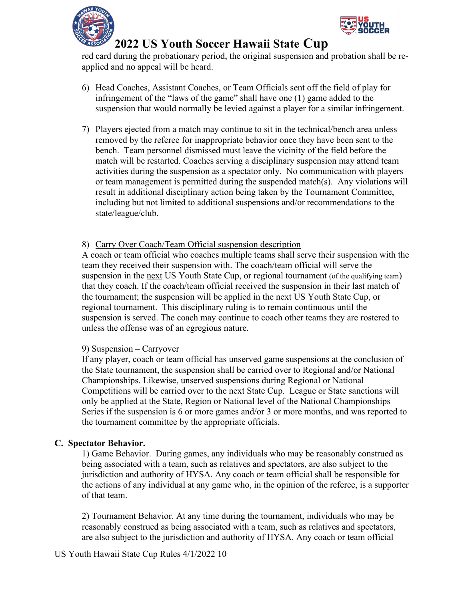



red card during the probationary period, the original suspension and probation shall be reapplied and no appeal will be heard.

- 6) Head Coaches, Assistant Coaches, or Team Officials sent off the field of play for infringement of the "laws of the game" shall have one (1) game added to the suspension that would normally be levied against a player for a similar infringement.
- 7) Players ejected from a match may continue to sit in the technical/bench area unless removed by the referee for inappropriate behavior once they have been sent to the bench. Team personnel dismissed must leave the vicinity of the field before the match will be restarted. Coaches serving a disciplinary suspension may attend team activities during the suspension as a spectator only. No communication with players or team management is permitted during the suspended match(s). Any violations will result in additional disciplinary action being taken by the Tournament Committee, including but not limited to additional suspensions and/or recommendations to the state/league/club.

#### 8) Carry Over Coach/Team Official suspension description

A coach or team official who coaches multiple teams shall serve their suspension with the team they received their suspension with. The coach/team official will serve the suspension in the next US Youth State Cup, or regional tournament (of the qualifying team) that they coach. If the coach/team official received the suspension in their last match of the tournament; the suspension will be applied in the next US Youth State Cup, or regional tournament. This disciplinary ruling is to remain continuous until the suspension is served. The coach may continue to coach other teams they are rostered to unless the offense was of an egregious nature.

#### 9) Suspension – Carryover

If any player, coach or team official has unserved game suspensions at the conclusion of the State tournament, the suspension shall be carried over to Regional and/or National Championships. Likewise, unserved suspensions during Regional or National Competitions will be carried over to the next State Cup. League or State sanctions will only be applied at the State, Region or National level of the National Championships Series if the suspension is 6 or more games and/or 3 or more months, and was reported to the tournament committee by the appropriate officials.

#### **C. Spectator Behavior.**

1) Game Behavior. During games, any individuals who may be reasonably construed as being associated with a team, such as relatives and spectators, are also subject to the jurisdiction and authority of HYSA. Any coach or team official shall be responsible for the actions of any individual at any game who, in the opinion of the referee, is a supporter of that team.

2) Tournament Behavior. At any time during the tournament, individuals who may be reasonably construed as being associated with a team, such as relatives and spectators, are also subject to the jurisdiction and authority of HYSA. Any coach or team official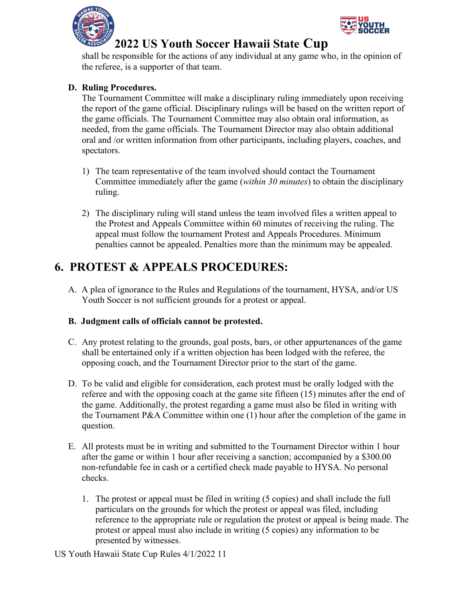



shall be responsible for the actions of any individual at any game who, in the opinion of the referee, is a supporter of that team.

#### **D. Ruling Procedures.**

The Tournament Committee will make a disciplinary ruling immediately upon receiving the report of the game official. Disciplinary rulings will be based on the written report of the game officials. The Tournament Committee may also obtain oral information, as needed, from the game officials. The Tournament Director may also obtain additional oral and /or written information from other participants, including players, coaches, and spectators.

- 1) The team representative of the team involved should contact the Tournament Committee immediately after the game (*within 30 minutes*) to obtain the disciplinary ruling.
- 2) The disciplinary ruling will stand unless the team involved files a written appeal to the Protest and Appeals Committee within 60 minutes of receiving the ruling. The appeal must follow the tournament Protest and Appeals Procedures. Minimum penalties cannot be appealed. Penalties more than the minimum may be appealed.

### **6. PROTEST & APPEALS PROCEDURES:**

A. A plea of ignorance to the Rules and Regulations of the tournament, HYSA, and/or US Youth Soccer is not sufficient grounds for a protest or appeal.

#### **B. Judgment calls of officials cannot be protested.**

- C. Any protest relating to the grounds, goal posts, bars, or other appurtenances of the game shall be entertained only if a written objection has been lodged with the referee, the opposing coach, and the Tournament Director prior to the start of the game.
- D. To be valid and eligible for consideration, each protest must be orally lodged with the referee and with the opposing coach at the game site fifteen (15) minutes after the end of the game. Additionally, the protest regarding a game must also be filed in writing with the Tournament P&A Committee within one (1) hour after the completion of the game in question.
- E. All protests must be in writing and submitted to the Tournament Director within 1 hour after the game or within 1 hour after receiving a sanction; accompanied by a \$300.00 non-refundable fee in cash or a certified check made payable to HYSA. No personal checks.
	- 1. The protest or appeal must be filed in writing (5 copies) and shall include the full particulars on the grounds for which the protest or appeal was filed, including reference to the appropriate rule or regulation the protest or appeal is being made. The protest or appeal must also include in writing (5 copies) any information to be presented by witnesses.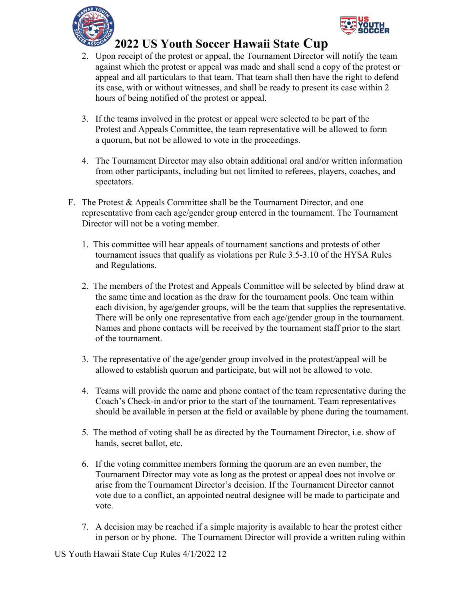



- 2. Upon receipt of the protest or appeal, the Tournament Director will notify the team against which the protest or appeal was made and shall send a copy of the protest or appeal and all particulars to that team. That team shall then have the right to defend its case, with or without witnesses, and shall be ready to present its case within 2 hours of being notified of the protest or appeal.
- 3. If the teams involved in the protest or appeal were selected to be part of the Protest and Appeals Committee, the team representative will be allowed to form a quorum, but not be allowed to vote in the proceedings.
- 4. The Tournament Director may also obtain additional oral and/or written information from other participants, including but not limited to referees, players, coaches, and spectators.
- F. The Protest & Appeals Committee shall be the Tournament Director, and one representative from each age/gender group entered in the tournament. The Tournament Director will not be a voting member.
	- 1. This committee will hear appeals of tournament sanctions and protests of other tournament issues that qualify as violations per Rule 3.5-3.10 of the HYSA Rules and Regulations.
	- 2. The members of the Protest and Appeals Committee will be selected by blind draw at the same time and location as the draw for the tournament pools. One team within each division, by age/gender groups, will be the team that supplies the representative. There will be only one representative from each age/gender group in the tournament. Names and phone contacts will be received by the tournament staff prior to the start of the tournament.
	- 3. The representative of the age/gender group involved in the protest/appeal will be allowed to establish quorum and participate, but will not be allowed to vote.
	- 4. Teams will provide the name and phone contact of the team representative during the Coach's Check-in and/or prior to the start of the tournament. Team representatives should be available in person at the field or available by phone during the tournament.
	- 5. The method of voting shall be as directed by the Tournament Director, i.e. show of hands, secret ballot, etc.
	- 6. If the voting committee members forming the quorum are an even number, the Tournament Director may vote as long as the protest or appeal does not involve or arise from the Tournament Director's decision. If the Tournament Director cannot vote due to a conflict, an appointed neutral designee will be made to participate and vote.
	- 7. A decision may be reached if a simple majority is available to hear the protest either in person or by phone. The Tournament Director will provide a written ruling within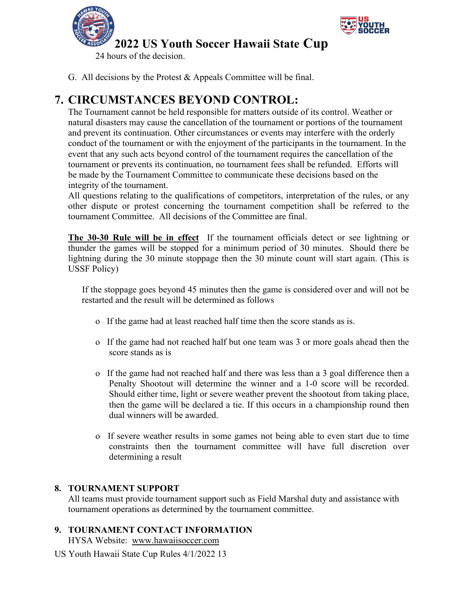

24 hours of the decision.

G. All decisions by the Protest & Appeals Committee will be final.

## **7. CIRCUMSTANCES BEYOND CONTROL:**

The Tournament cannot be held responsible for matters outside of its control. Weather or natural disasters may cause the cancellation of the tournament or portions of the tournament and prevent its continuation. Other circumstances or events may interfere with the orderly conduct of the tournament or with the enjoyment of the participants in the tournament. In the event that any such acts beyond control of the tournament requires the cancellation of the tournament or prevents its continuation, no tournament fees shall be refunded. Efforts will be made by the Tournament Committee to communicate these decisions based on the integrity of the tournament.

All questions relating to the qualifications of competitors, interpretation of the rules, or any other dispute or protest concerning the tournament competition shall be referred to the tournament Committee. All decisions of the Committee are final.

**The 30-30 Rule will be in effect** If the tournament officials detect or see lightning or thunder the games will be stopped for a minimum period of 30 minutes. Should there be lightning during the 30 minute stoppage then the 30 minute count will start again. (This is USSF Policy)

 If the stoppage goes beyond 45 minutes then the game is considered over and will not be restarted and the result will be determined as follows

- o If the game had at least reached half time then the score stands as is.
- o If the game had not reached half but one team was 3 or more goals ahead then the score stands as is
- o If the game had not reached half and there was less than a 3 goal difference then a Penalty Shootout will determine the winner and a 1-0 score will be recorded. Should either time, light or severe weather prevent the shootout from taking place, then the game will be declared a tie. If this occurs in a championship round then dual winners will be awarded.
- o If severe weather results in some games not being able to even start due to time constraints then the tournament committee will have full discretion over determining a result

#### **8. TOURNAMENT SUPPORT**

All teams must provide tournament support such as Field Marshal duty and assistance with tournament operations as determined by the tournament committee.

#### **9. TOURNAMENT CONTACT INFORMATION**

HYSA Website: www.hawaiisoccer.com